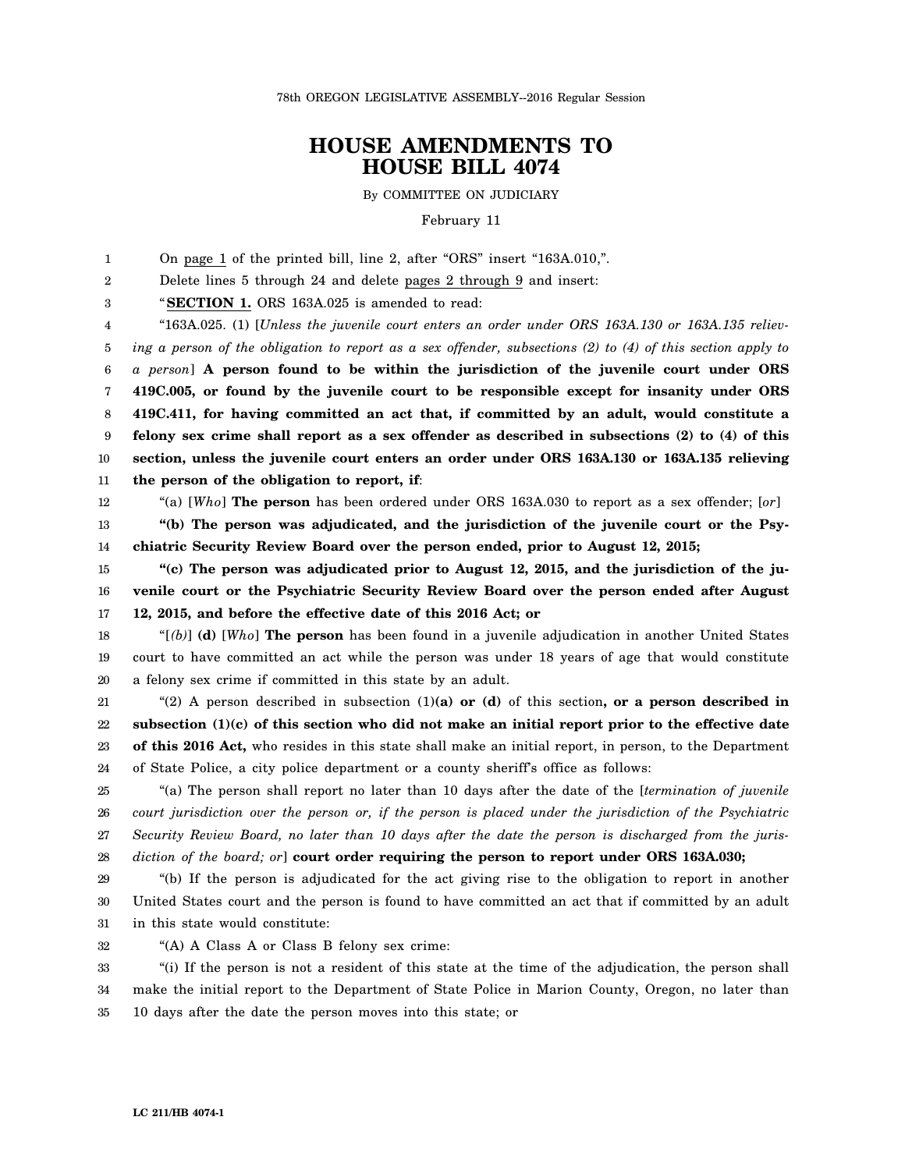78th OREGON LEGISLATIVE ASSEMBLY--2016 Regular Session

## **HOUSE AMENDMENTS TO HOUSE BILL 4074**

By COMMITTEE ON JUDICIARY

February 11

1 On page 1 of the printed bill, line 2, after "ORS" insert "163A.010,".

2 Delete lines 5 through 24 and delete pages 2 through 9 and insert:

3 "**SECTION 1.** ORS 163A.025 is amended to read:

4 5 6 7 8 9 10 11 "163A.025. (1) [*Unless the juvenile court enters an order under ORS 163A.130 or 163A.135 relieving a person of the obligation to report as a sex offender, subsections (2) to (4) of this section apply to a person*] **A person found to be within the jurisdiction of the juvenile court under ORS 419C.005, or found by the juvenile court to be responsible except for insanity under ORS 419C.411, for having committed an act that, if committed by an adult, would constitute a felony sex crime shall report as a sex offender as described in subsections (2) to (4) of this section, unless the juvenile court enters an order under ORS 163A.130 or 163A.135 relieving the person of the obligation to report, if**:

12

"(a) [*Who*] **The person** has been ordered under ORS 163A.030 to report as a sex offender; [*or*]

13 14 **"(b) The person was adjudicated, and the jurisdiction of the juvenile court or the Psychiatric Security Review Board over the person ended, prior to August 12, 2015;**

15 16 17 **"(c) The person was adjudicated prior to August 12, 2015, and the jurisdiction of the juvenile court or the Psychiatric Security Review Board over the person ended after August 12, 2015, and before the effective date of this 2016 Act; or**

18 19 20 "[*(b)*] **(d)** [*Who*] **The person** has been found in a juvenile adjudication in another United States court to have committed an act while the person was under 18 years of age that would constitute a felony sex crime if committed in this state by an adult.

21 22 23 24 "(2) A person described in subsection (1)**(a) or (d)** of this section**, or a person described in subsection (1)(c) of this section who did not make an initial report prior to the effective date of this 2016 Act,** who resides in this state shall make an initial report, in person, to the Department of State Police, a city police department or a county sheriff's office as follows:

25 26 27 28 "(a) The person shall report no later than 10 days after the date of the [*termination of juvenile court jurisdiction over the person or, if the person is placed under the jurisdiction of the Psychiatric Security Review Board, no later than 10 days after the date the person is discharged from the jurisdiction of the board; or*] **court order requiring the person to report under ORS 163A.030;**

29 30 31 "(b) If the person is adjudicated for the act giving rise to the obligation to report in another United States court and the person is found to have committed an act that if committed by an adult in this state would constitute:

32 "(A) A Class A or Class B felony sex crime:

33 34 35 "(i) If the person is not a resident of this state at the time of the adjudication, the person shall make the initial report to the Department of State Police in Marion County, Oregon, no later than 10 days after the date the person moves into this state; or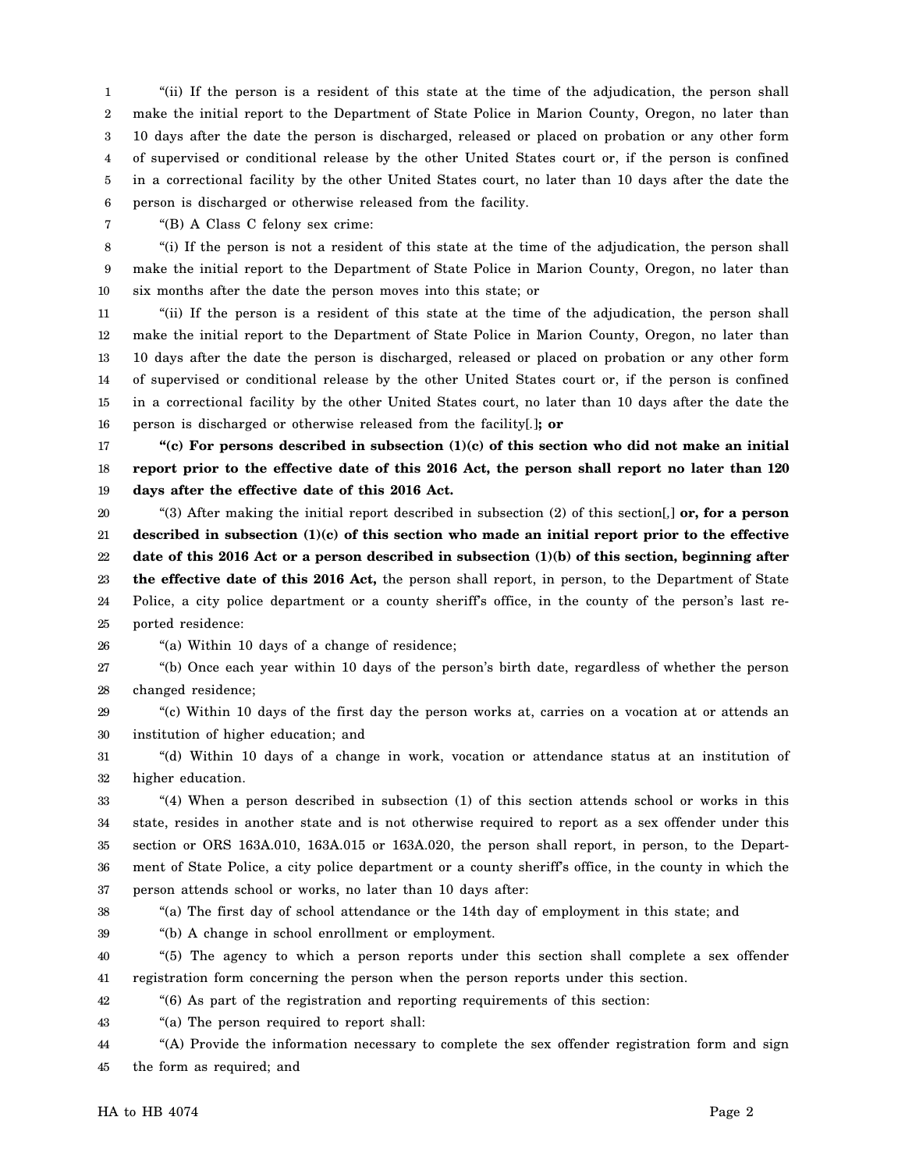1 2 3 4 5 6 "(ii) If the person is a resident of this state at the time of the adjudication, the person shall make the initial report to the Department of State Police in Marion County, Oregon, no later than 10 days after the date the person is discharged, released or placed on probation or any other form of supervised or conditional release by the other United States court or, if the person is confined in a correctional facility by the other United States court, no later than 10 days after the date the person is discharged or otherwise released from the facility.

7 "(B) A Class C felony sex crime:

8 9 10 "(i) If the person is not a resident of this state at the time of the adjudication, the person shall make the initial report to the Department of State Police in Marion County, Oregon, no later than six months after the date the person moves into this state; or

11 12 13 14 15 16 "(ii) If the person is a resident of this state at the time of the adjudication, the person shall make the initial report to the Department of State Police in Marion County, Oregon, no later than 10 days after the date the person is discharged, released or placed on probation or any other form of supervised or conditional release by the other United States court or, if the person is confined in a correctional facility by the other United States court, no later than 10 days after the date the person is discharged or otherwise released from the facility[*.*]**; or**

17 18 19 **"(c) For persons described in subsection (1)(c) of this section who did not make an initial report prior to the effective date of this 2016 Act, the person shall report no later than 120 days after the effective date of this 2016 Act.**

20 21 22 23 24 25 "(3) After making the initial report described in subsection (2) of this section[*,*] **or, for a person described in subsection (1)(c) of this section who made an initial report prior to the effective date of this 2016 Act or a person described in subsection (1)(b) of this section, beginning after the effective date of this 2016 Act,** the person shall report, in person, to the Department of State Police, a city police department or a county sheriff's office, in the county of the person's last reported residence:

26

"(a) Within 10 days of a change of residence;

27 28 "(b) Once each year within 10 days of the person's birth date, regardless of whether the person changed residence;

29 30 "(c) Within 10 days of the first day the person works at, carries on a vocation at or attends an institution of higher education; and

31 32 "(d) Within 10 days of a change in work, vocation or attendance status at an institution of higher education.

33 34 35 36 37 "(4) When a person described in subsection (1) of this section attends school or works in this state, resides in another state and is not otherwise required to report as a sex offender under this section or ORS 163A.010, 163A.015 or 163A.020, the person shall report, in person, to the Department of State Police, a city police department or a county sheriff's office, in the county in which the person attends school or works, no later than 10 days after:

38

"(a) The first day of school attendance or the 14th day of employment in this state; and

39 "(b) A change in school enrollment or employment.

40 41 "(5) The agency to which a person reports under this section shall complete a sex offender registration form concerning the person when the person reports under this section.

42 "(6) As part of the registration and reporting requirements of this section:

43 "(a) The person required to report shall:

44 45 "(A) Provide the information necessary to complete the sex offender registration form and sign the form as required; and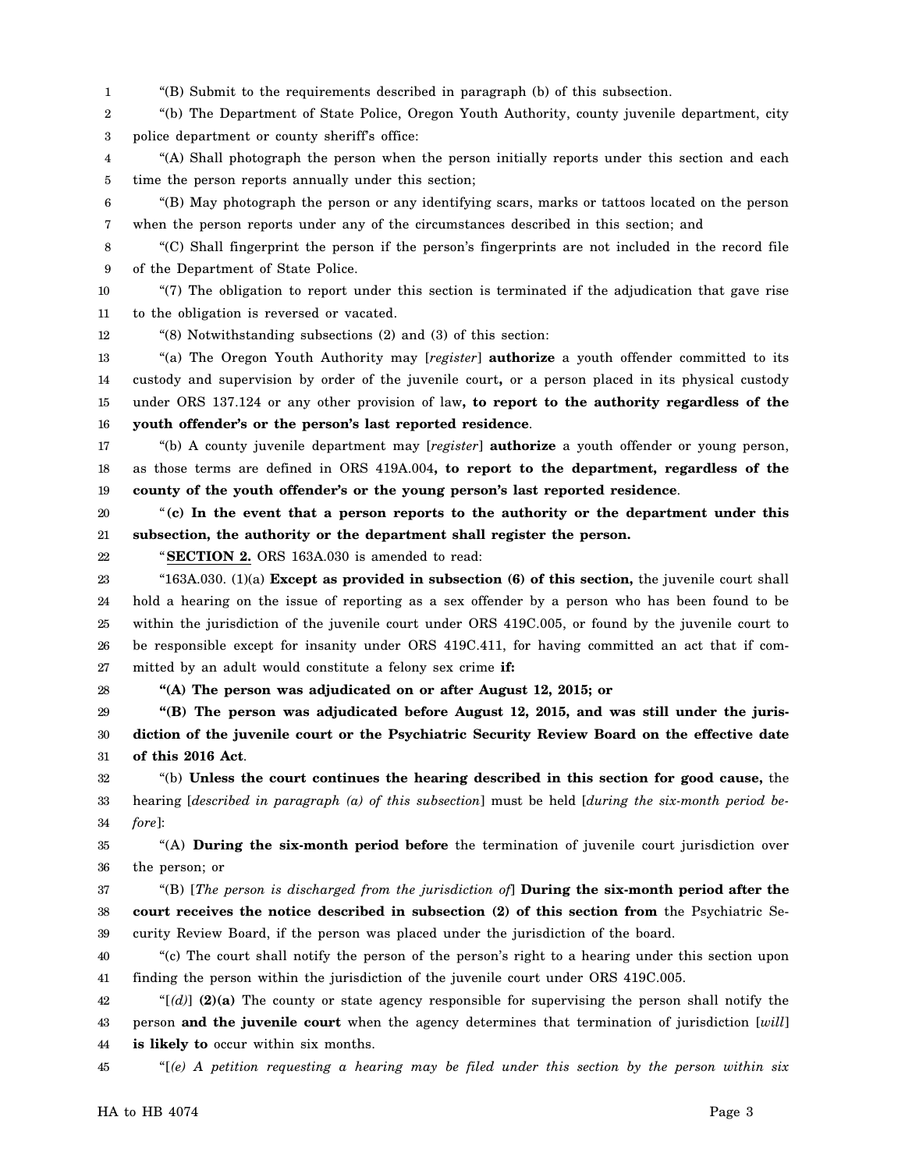1 "(B) Submit to the requirements described in paragraph (b) of this subsection.

2 3 "(b) The Department of State Police, Oregon Youth Authority, county juvenile department, city police department or county sheriff's office:

4 5 "(A) Shall photograph the person when the person initially reports under this section and each time the person reports annually under this section;

6 7 "(B) May photograph the person or any identifying scars, marks or tattoos located on the person when the person reports under any of the circumstances described in this section; and

8 9 "(C) Shall fingerprint the person if the person's fingerprints are not included in the record file of the Department of State Police.

10 11 "(7) The obligation to report under this section is terminated if the adjudication that gave rise to the obligation is reversed or vacated.

12 "(8) Notwithstanding subsections (2) and (3) of this section:

13 14 15 16 "(a) The Oregon Youth Authority may [*register*] **authorize** a youth offender committed to its custody and supervision by order of the juvenile court**,** or a person placed in its physical custody under ORS 137.124 or any other provision of law**, to report to the authority regardless of the youth offender's or the person's last reported residence**.

17 18 19 "(b) A county juvenile department may [*register*] **authorize** a youth offender or young person, as those terms are defined in ORS 419A.004**, to report to the department, regardless of the county of the youth offender's or the young person's last reported residence**.

20 21 "**(c) In the event that a person reports to the authority or the department under this subsection, the authority or the department shall register the person.**

22

"**SECTION 2.** ORS 163A.030 is amended to read:

23 24 25 26 27 "163A.030. (1)(a) **Except as provided in subsection (6) of this section,** the juvenile court shall hold a hearing on the issue of reporting as a sex offender by a person who has been found to be within the jurisdiction of the juvenile court under ORS 419C.005, or found by the juvenile court to be responsible except for insanity under ORS 419C.411, for having committed an act that if committed by an adult would constitute a felony sex crime **if:**

28 **"(A) The person was adjudicated on or after August 12, 2015; or**

29 30 31 **"(B) The person was adjudicated before August 12, 2015, and was still under the jurisdiction of the juvenile court or the Psychiatric Security Review Board on the effective date of this 2016 Act**.

32 33 34 "(b) **Unless the court continues the hearing described in this section for good cause,** the hearing [*described in paragraph (a) of this subsection*] must be held [*during the six-month period before*]:

35 36 "(A) **During the six-month period before** the termination of juvenile court jurisdiction over the person; or

37 38 39 "(B) [*The person is discharged from the jurisdiction of*] **During the six-month period after the court receives the notice described in subsection (2) of this section from** the Psychiatric Security Review Board, if the person was placed under the jurisdiction of the board.

40 41 "(c) The court shall notify the person of the person's right to a hearing under this section upon finding the person within the jurisdiction of the juvenile court under ORS 419C.005.

42 43 44 " $[(d)]$  (2)(a) The county or state agency responsible for supervising the person shall notify the person **and the juvenile court** when the agency determines that termination of jurisdiction [*will*] **is likely to** occur within six months.

45 "[*(e) A petition requesting a hearing may be filed under this section by the person within six*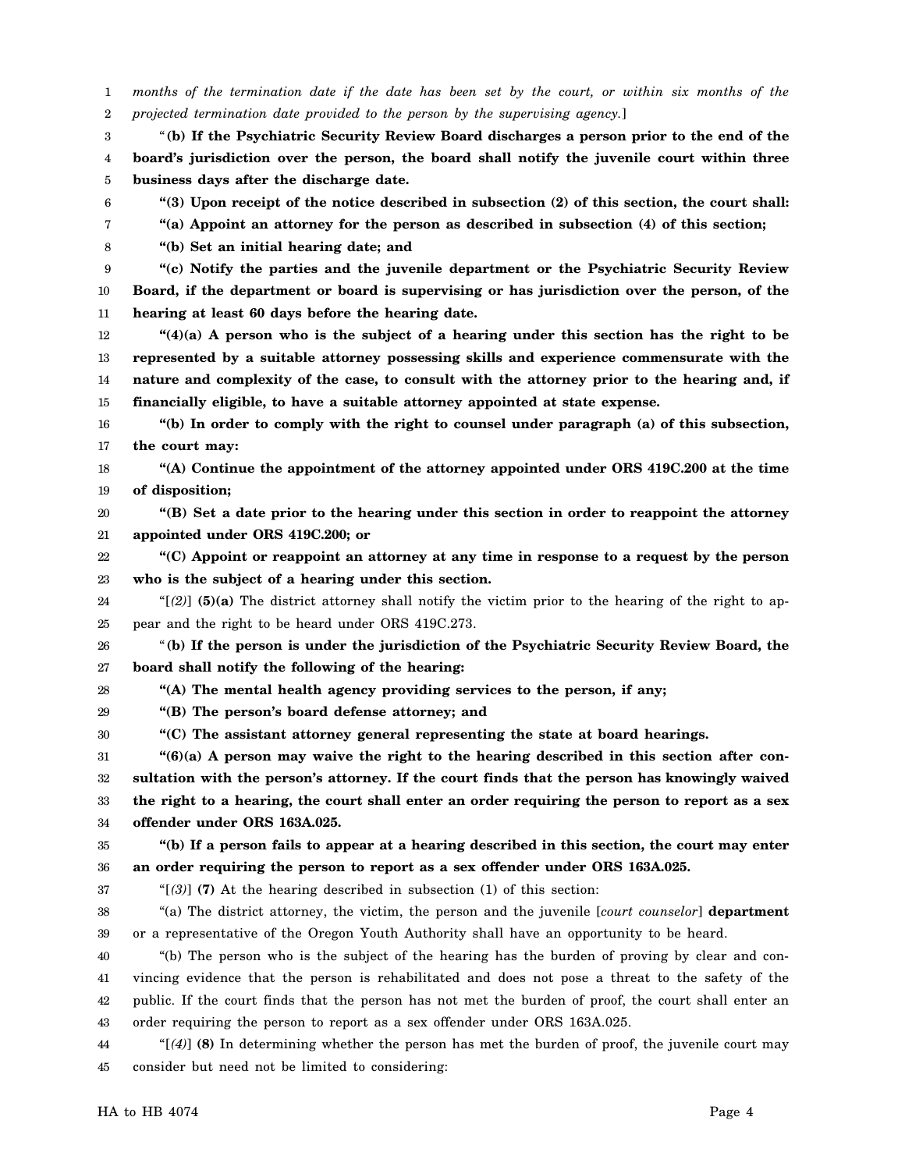1 2 *months of the termination date if the date has been set by the court, or within six months of the projected termination date provided to the person by the supervising agency.*]

3 4 5 "**(b) If the Psychiatric Security Review Board discharges a person prior to the end of the board's jurisdiction over the person, the board shall notify the juvenile court within three business days after the discharge date.**

**"(3) Upon receipt of the notice described in subsection (2) of this section, the court shall:**

**"(a) Appoint an attorney for the person as described in subsection (4) of this section;**

8 **"(b) Set an initial hearing date; and**

6 7

9 10 11 **"(c) Notify the parties and the juvenile department or the Psychiatric Security Review Board, if the department or board is supervising or has jurisdiction over the person, of the hearing at least 60 days before the hearing date.**

12 13 14 15 **"(4)(a) A person who is the subject of a hearing under this section has the right to be represented by a suitable attorney possessing skills and experience commensurate with the nature and complexity of the case, to consult with the attorney prior to the hearing and, if financially eligible, to have a suitable attorney appointed at state expense.**

16 17 **"(b) In order to comply with the right to counsel under paragraph (a) of this subsection, the court may:**

18 19 **"(A) Continue the appointment of the attorney appointed under ORS 419C.200 at the time of disposition;**

20 21 **"(B) Set a date prior to the hearing under this section in order to reappoint the attorney appointed under ORS 419C.200; or**

22 23 **"(C) Appoint or reappoint an attorney at any time in response to a request by the person who is the subject of a hearing under this section.**

24 25 "[*(2)*] **(5)(a)** The district attorney shall notify the victim prior to the hearing of the right to appear and the right to be heard under ORS 419C.273.

26 27 "**(b) If the person is under the jurisdiction of the Psychiatric Security Review Board, the board shall notify the following of the hearing:**

28

29

**"(B) The person's board defense attorney; and**

30 **"(C) The assistant attorney general representing the state at board hearings.**

**"(A) The mental health agency providing services to the person, if any;**

31 32 33 34 **"(6)(a) A person may waive the right to the hearing described in this section after consultation with the person's attorney. If the court finds that the person has knowingly waived the right to a hearing, the court shall enter an order requiring the person to report as a sex offender under ORS 163A.025.**

**"(b) If a person fails to appear at a hearing described in this section, the court may enter**

35

36 **an order requiring the person to report as a sex offender under ORS 163A.025.**

37

"[*(3)*] **(7)** At the hearing described in subsection (1) of this section:

38 39 "(a) The district attorney, the victim, the person and the juvenile [*court counselor*] **department** or a representative of the Oregon Youth Authority shall have an opportunity to be heard.

40 41 42 43 "(b) The person who is the subject of the hearing has the burden of proving by clear and convincing evidence that the person is rehabilitated and does not pose a threat to the safety of the public. If the court finds that the person has not met the burden of proof, the court shall enter an order requiring the person to report as a sex offender under ORS 163A.025.

44 45 "[*(4)*] **(8)** In determining whether the person has met the burden of proof, the juvenile court may consider but need not be limited to considering: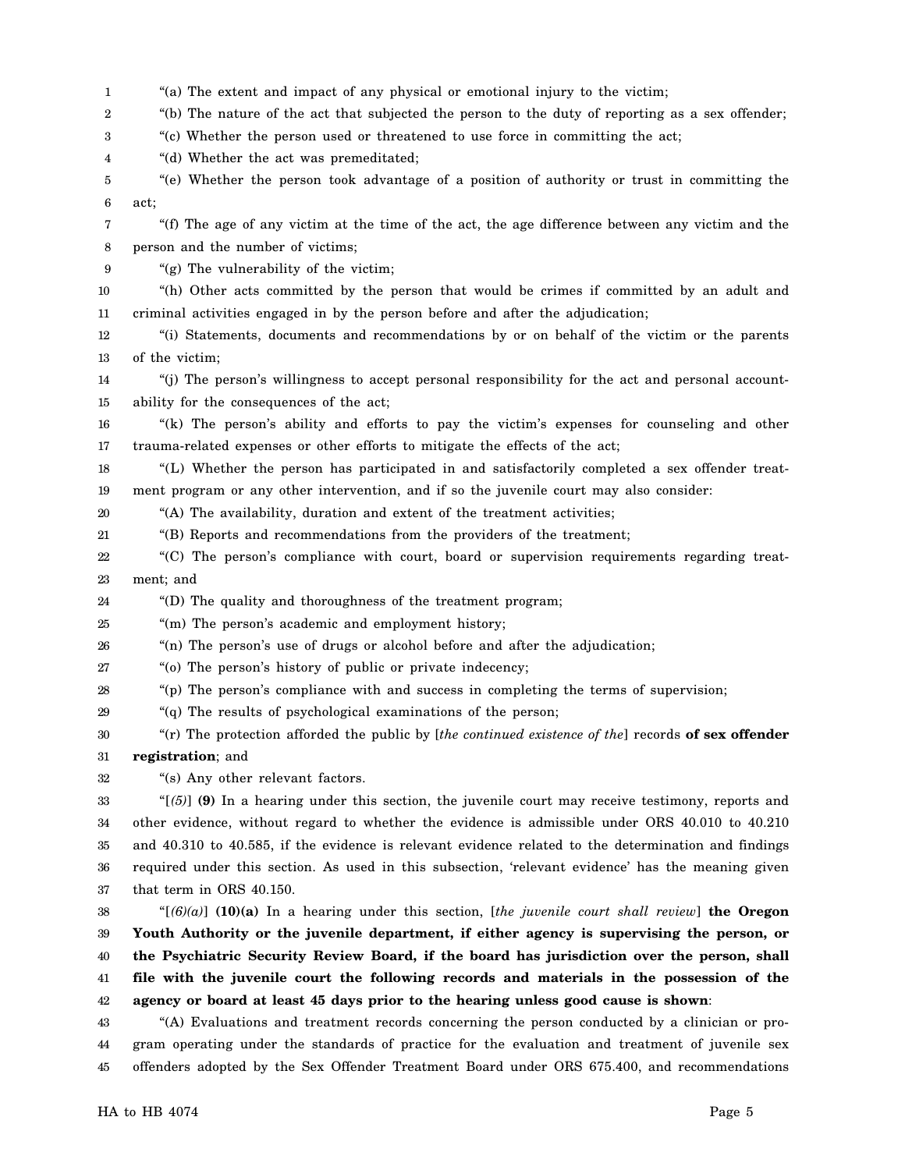1 2 3 4 5 6 7 8 9 10 11 12 13 14 15 16 17 18 19 20 21 22 23 24 25 26 27 28 29 30 31 32 33 34 35 36 37 38 39 40 41 42 43 44 "(a) The extent and impact of any physical or emotional injury to the victim; "(b) The nature of the act that subjected the person to the duty of reporting as a sex offender; "(c) Whether the person used or threatened to use force in committing the act; "(d) Whether the act was premeditated; "(e) Whether the person took advantage of a position of authority or trust in committing the act; "(f) The age of any victim at the time of the act, the age difference between any victim and the person and the number of victims; "(g) The vulnerability of the victim; "(h) Other acts committed by the person that would be crimes if committed by an adult and criminal activities engaged in by the person before and after the adjudication; "(i) Statements, documents and recommendations by or on behalf of the victim or the parents of the victim; "(j) The person's willingness to accept personal responsibility for the act and personal accountability for the consequences of the act; "(k) The person's ability and efforts to pay the victim's expenses for counseling and other trauma-related expenses or other efforts to mitigate the effects of the act; "(L) Whether the person has participated in and satisfactorily completed a sex offender treatment program or any other intervention, and if so the juvenile court may also consider: "(A) The availability, duration and extent of the treatment activities; "(B) Reports and recommendations from the providers of the treatment; "(C) The person's compliance with court, board or supervision requirements regarding treatment; and "(D) The quality and thoroughness of the treatment program; "(m) The person's academic and employment history; "(n) The person's use of drugs or alcohol before and after the adjudication; "(o) The person's history of public or private indecency; "(p) The person's compliance with and success in completing the terms of supervision; "(q) The results of psychological examinations of the person; "(r) The protection afforded the public by [*the continued existence of the*] records **of sex offender registration**; and "(s) Any other relevant factors. "[*(5)*] **(9)** In a hearing under this section, the juvenile court may receive testimony, reports and other evidence, without regard to whether the evidence is admissible under ORS 40.010 to 40.210 and 40.310 to 40.585, if the evidence is relevant evidence related to the determination and findings required under this section. As used in this subsection, 'relevant evidence' has the meaning given that term in ORS 40.150. "[*(6)(a)*] **(10)(a)** In a hearing under this section, [*the juvenile court shall review*] **the Oregon Youth Authority or the juvenile department, if either agency is supervising the person, or the Psychiatric Security Review Board, if the board has jurisdiction over the person, shall file with the juvenile court the following records and materials in the possession of the agency or board at least 45 days prior to the hearing unless good cause is shown**: "(A) Evaluations and treatment records concerning the person conducted by a clinician or program operating under the standards of practice for the evaluation and treatment of juvenile sex

45 offenders adopted by the Sex Offender Treatment Board under ORS 675.400, and recommendations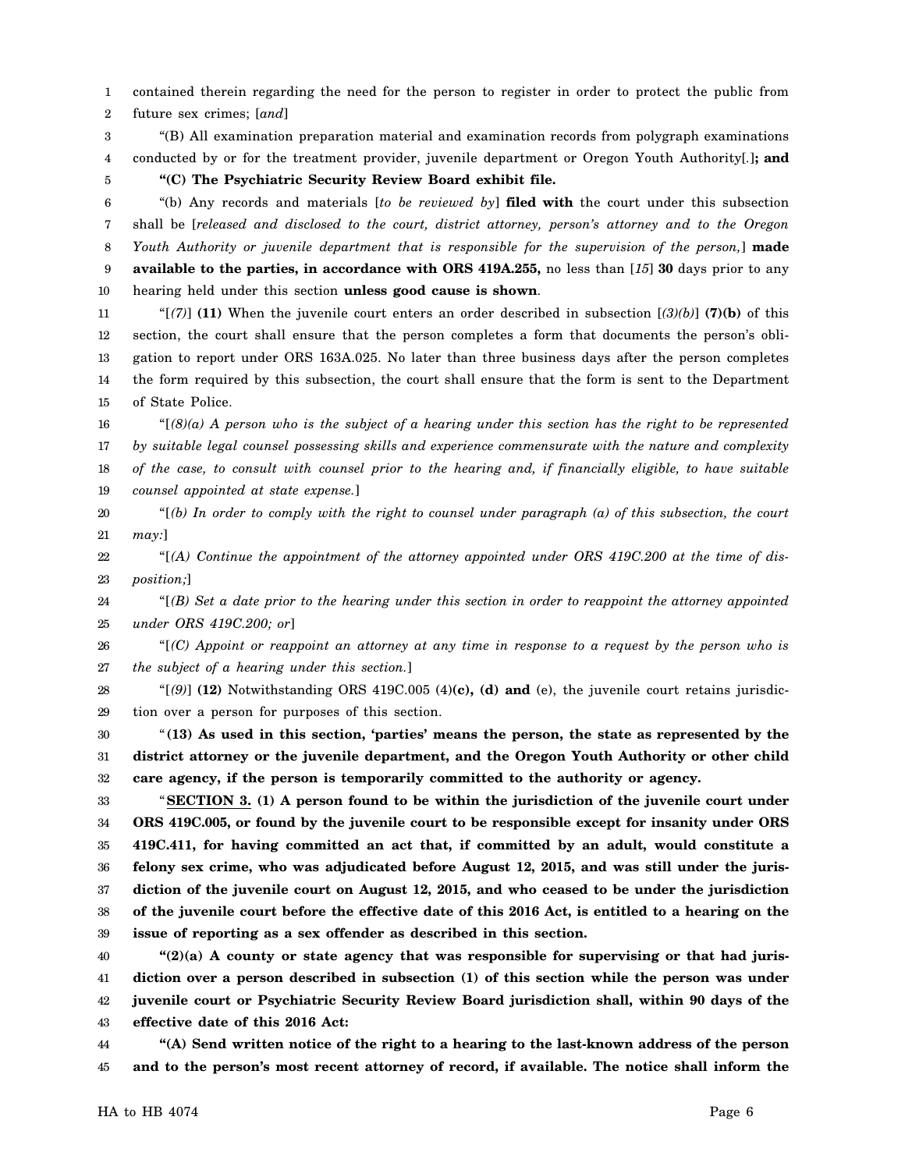1 2 contained therein regarding the need for the person to register in order to protect the public from future sex crimes; [*and*]

3 4 "(B) All examination preparation material and examination records from polygraph examinations conducted by or for the treatment provider, juvenile department or Oregon Youth Authority[*.*]**; and**

5

**"(C) The Psychiatric Security Review Board exhibit file.**

6 7 8 9 10 "(b) Any records and materials [*to be reviewed by*] **filed with** the court under this subsection shall be [*released and disclosed to the court, district attorney, person's attorney and to the Oregon Youth Authority or juvenile department that is responsible for the supervision of the person,*] **made available to the parties, in accordance with ORS 419A.255,** no less than [*15*] **30** days prior to any hearing held under this section **unless good cause is shown**.

11 12 13 14 15 "[*(7)*] **(11)** When the juvenile court enters an order described in subsection [*(3)(b)*] **(7)(b)** of this section, the court shall ensure that the person completes a form that documents the person's obligation to report under ORS 163A.025. No later than three business days after the person completes the form required by this subsection, the court shall ensure that the form is sent to the Department of State Police.

16 17 18 19 "[*(8)(a) A person who is the subject of a hearing under this section has the right to be represented by suitable legal counsel possessing skills and experience commensurate with the nature and complexity of the case, to consult with counsel prior to the hearing and, if financially eligible, to have suitable counsel appointed at state expense.*]

20 21 "[*(b) In order to comply with the right to counsel under paragraph (a) of this subsection, the court may:*]

22 23 "[*(A) Continue the appointment of the attorney appointed under ORS 419C.200 at the time of disposition;*]

24 25 "[*(B) Set a date prior to the hearing under this section in order to reappoint the attorney appointed under ORS 419C.200; or*]

26 27 "[*(C) Appoint or reappoint an attorney at any time in response to a request by the person who is the subject of a hearing under this section.*]

28 29 " $[9]$  (12) Notwithstanding ORS 419C.005 (4)(c), (d) and (e), the juvenile court retains jurisdiction over a person for purposes of this section.

30 31 32 "**(13) As used in this section, 'parties' means the person, the state as represented by the district attorney or the juvenile department, and the Oregon Youth Authority or other child care agency, if the person is temporarily committed to the authority or agency.**

33 34 35 36 37 38 39 "**SECTION 3. (1) A person found to be within the jurisdiction of the juvenile court under ORS 419C.005, or found by the juvenile court to be responsible except for insanity under ORS 419C.411, for having committed an act that, if committed by an adult, would constitute a felony sex crime, who was adjudicated before August 12, 2015, and was still under the jurisdiction of the juvenile court on August 12, 2015, and who ceased to be under the jurisdiction of the juvenile court before the effective date of this 2016 Act, is entitled to a hearing on the issue of reporting as a sex offender as described in this section.**

40 41 42 43 **"(2)(a) A county or state agency that was responsible for supervising or that had jurisdiction over a person described in subsection (1) of this section while the person was under juvenile court or Psychiatric Security Review Board jurisdiction shall, within 90 days of the effective date of this 2016 Act:**

44 45 **"(A) Send written notice of the right to a hearing to the last-known address of the person and to the person's most recent attorney of record, if available. The notice shall inform the**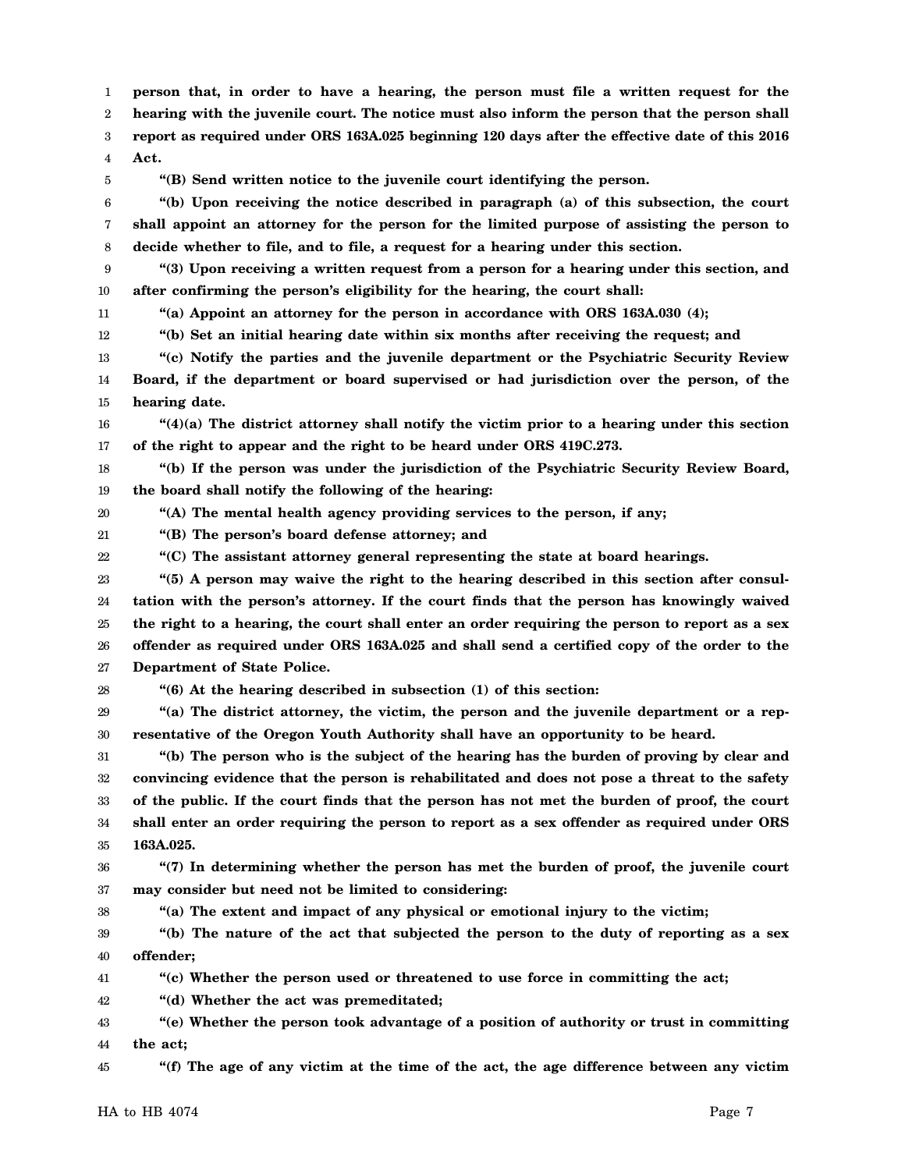1 **person that, in order to have a hearing, the person must file a written request for the**

2 **hearing with the juvenile court. The notice must also inform the person that the person shall**

3 **report as required under ORS 163A.025 beginning 120 days after the effective date of this 2016**

4 **Act.**

5

**"(B) Send written notice to the juvenile court identifying the person.**

6 7 8 **"(b) Upon receiving the notice described in paragraph (a) of this subsection, the court shall appoint an attorney for the person for the limited purpose of assisting the person to decide whether to file, and to file, a request for a hearing under this section.**

9 10 **"(3) Upon receiving a written request from a person for a hearing under this section, and after confirming the person's eligibility for the hearing, the court shall:**

11 12 **"(a) Appoint an attorney for the person in accordance with ORS 163A.030 (4);**

**"(b) Set an initial hearing date within six months after receiving the request; and**

13 14 15 **"(c) Notify the parties and the juvenile department or the Psychiatric Security Review Board, if the department or board supervised or had jurisdiction over the person, of the hearing date.**

16 17 **"(4)(a) The district attorney shall notify the victim prior to a hearing under this section of the right to appear and the right to be heard under ORS 419C.273.**

18 19 **"(b) If the person was under the jurisdiction of the Psychiatric Security Review Board, the board shall notify the following of the hearing:**

20 **"(A) The mental health agency providing services to the person, if any;**

21 **"(B) The person's board defense attorney; and**

22 **"(C) The assistant attorney general representing the state at board hearings.**

23 24 25 26 27 **"(5) A person may waive the right to the hearing described in this section after consultation with the person's attorney. If the court finds that the person has knowingly waived the right to a hearing, the court shall enter an order requiring the person to report as a sex offender as required under ORS 163A.025 and shall send a certified copy of the order to the Department of State Police.**

28

38

**"(6) At the hearing described in subsection (1) of this section:**

29 30 **"(a) The district attorney, the victim, the person and the juvenile department or a representative of the Oregon Youth Authority shall have an opportunity to be heard.**

31 32 33 34 35 **"(b) The person who is the subject of the hearing has the burden of proving by clear and convincing evidence that the person is rehabilitated and does not pose a threat to the safety of the public. If the court finds that the person has not met the burden of proof, the court shall enter an order requiring the person to report as a sex offender as required under ORS 163A.025.**

36 37 **"(7) In determining whether the person has met the burden of proof, the juvenile court may consider but need not be limited to considering:**

**"(a) The extent and impact of any physical or emotional injury to the victim;**

39 40 **"(b) The nature of the act that subjected the person to the duty of reporting as a sex offender;**

41 **"(c) Whether the person used or threatened to use force in committing the act;**

42 **"(d) Whether the act was premeditated;**

43 44 **"(e) Whether the person took advantage of a position of authority or trust in committing the act;**

45 **"(f) The age of any victim at the time of the act, the age difference between any victim**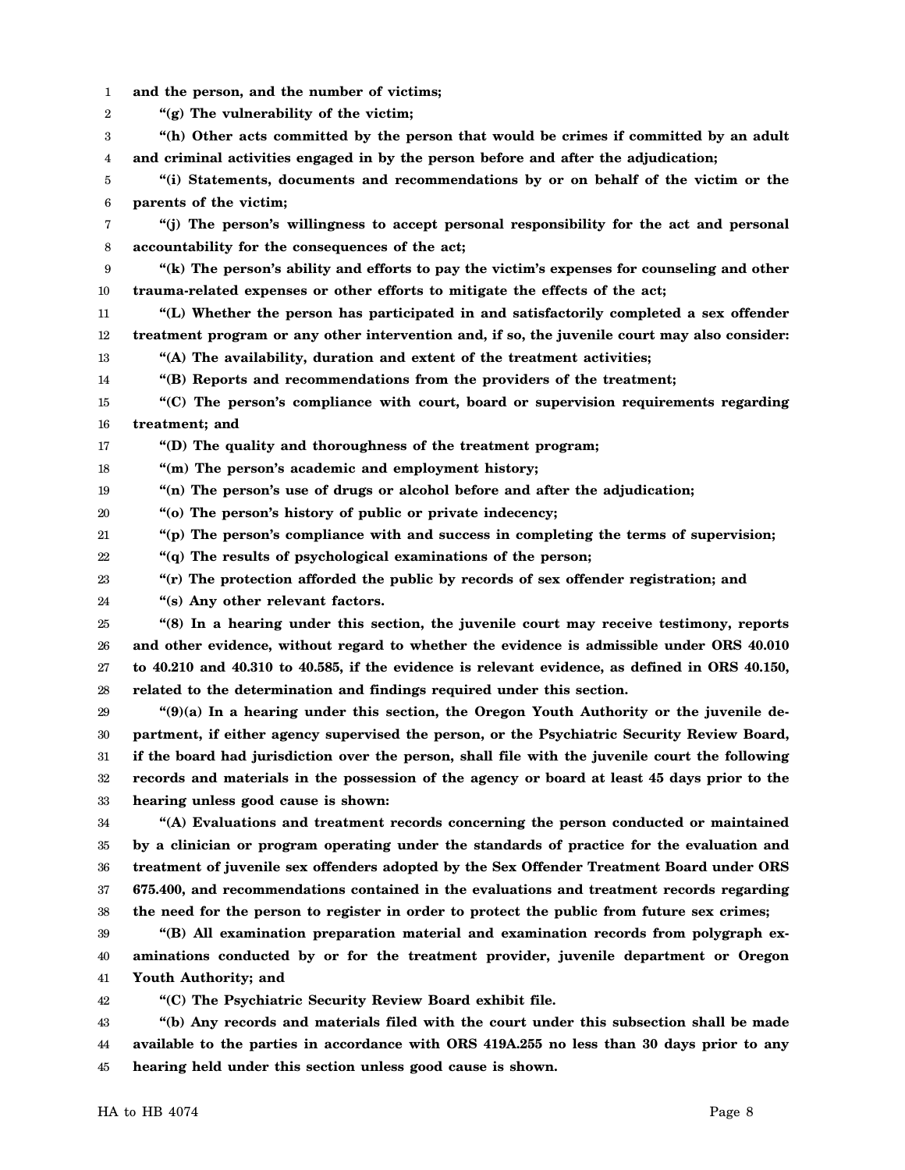1 2 3 4 5 6 7 8 9 10 11 12 13 14 15 16 17 18 19 20 21 22 23 24 25 26 27 28 29 30 31 32 33 34 35 36 37 38 39 40 41 42 43 44 45 **and the person, and the number of victims; "(g) The vulnerability of the victim; "(h) Other acts committed by the person that would be crimes if committed by an adult and criminal activities engaged in by the person before and after the adjudication; "(i) Statements, documents and recommendations by or on behalf of the victim or the parents of the victim; "(j) The person's willingness to accept personal responsibility for the act and personal accountability for the consequences of the act; "(k) The person's ability and efforts to pay the victim's expenses for counseling and other trauma-related expenses or other efforts to mitigate the effects of the act; "(L) Whether the person has participated in and satisfactorily completed a sex offender treatment program or any other intervention and, if so, the juvenile court may also consider: "(A) The availability, duration and extent of the treatment activities; "(B) Reports and recommendations from the providers of the treatment; "(C) The person's compliance with court, board or supervision requirements regarding treatment; and "(D) The quality and thoroughness of the treatment program; "(m) The person's academic and employment history; "(n) The person's use of drugs or alcohol before and after the adjudication; "(o) The person's history of public or private indecency; "(p) The person's compliance with and success in completing the terms of supervision; "(q) The results of psychological examinations of the person; "(r) The protection afforded the public by records of sex offender registration; and "(s) Any other relevant factors. "(8) In a hearing under this section, the juvenile court may receive testimony, reports and other evidence, without regard to whether the evidence is admissible under ORS 40.010 to 40.210 and 40.310 to 40.585, if the evidence is relevant evidence, as defined in ORS 40.150, related to the determination and findings required under this section. "(9)(a) In a hearing under this section, the Oregon Youth Authority or the juvenile department, if either agency supervised the person, or the Psychiatric Security Review Board, if the board had jurisdiction over the person, shall file with the juvenile court the following records and materials in the possession of the agency or board at least 45 days prior to the hearing unless good cause is shown: "(A) Evaluations and treatment records concerning the person conducted or maintained by a clinician or program operating under the standards of practice for the evaluation and treatment of juvenile sex offenders adopted by the Sex Offender Treatment Board under ORS 675.400, and recommendations contained in the evaluations and treatment records regarding the need for the person to register in order to protect the public from future sex crimes; "(B) All examination preparation material and examination records from polygraph examinations conducted by or for the treatment provider, juvenile department or Oregon Youth Authority; and "(C) The Psychiatric Security Review Board exhibit file. "(b) Any records and materials filed with the court under this subsection shall be made available to the parties in accordance with ORS 419A.255 no less than 30 days prior to any hearing held under this section unless good cause is shown.**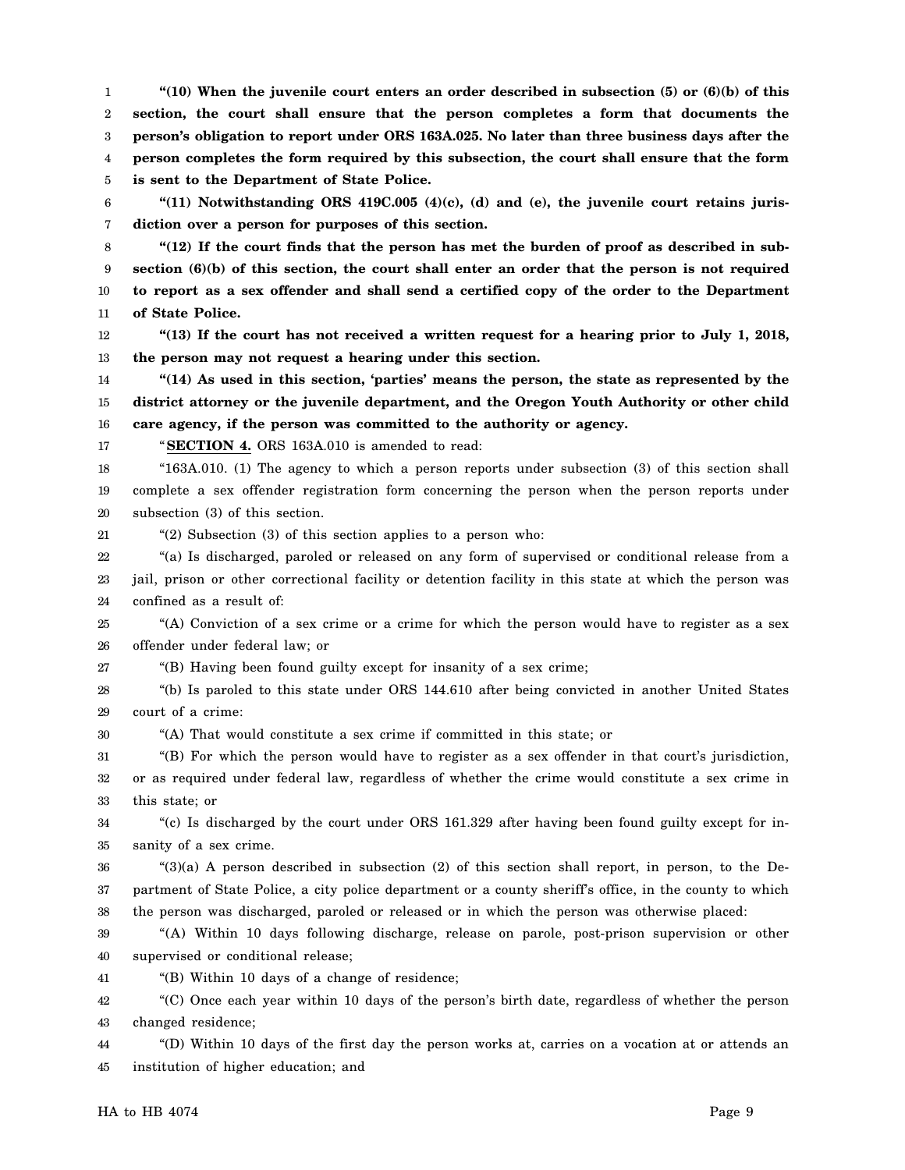1 2 3 4 5 **"(10) When the juvenile court enters an order described in subsection (5) or (6)(b) of this section, the court shall ensure that the person completes a form that documents the person's obligation to report under ORS 163A.025. No later than three business days after the person completes the form required by this subsection, the court shall ensure that the form is sent to the Department of State Police.**

6 7 **"(11) Notwithstanding ORS 419C.005 (4)(c), (d) and (e), the juvenile court retains jurisdiction over a person for purposes of this section.**

8 9 10 11 **"(12) If the court finds that the person has met the burden of proof as described in subsection (6)(b) of this section, the court shall enter an order that the person is not required to report as a sex offender and shall send a certified copy of the order to the Department of State Police.**

12 13 **"(13) If the court has not received a written request for a hearing prior to July 1, 2018, the person may not request a hearing under this section.**

14 15 16 **"(14) As used in this section, 'parties' means the person, the state as represented by the district attorney or the juvenile department, and the Oregon Youth Authority or other child care agency, if the person was committed to the authority or agency.**

17

21

"**SECTION 4.** ORS 163A.010 is amended to read:

18 19 20 "163A.010. (1) The agency to which a person reports under subsection (3) of this section shall complete a sex offender registration form concerning the person when the person reports under subsection (3) of this section.

"(2) Subsection (3) of this section applies to a person who:

22 23 24 "(a) Is discharged, paroled or released on any form of supervised or conditional release from a jail, prison or other correctional facility or detention facility in this state at which the person was confined as a result of:

25 26 "(A) Conviction of a sex crime or a crime for which the person would have to register as a sex offender under federal law; or

27 "(B) Having been found guilty except for insanity of a sex crime;

28 29 "(b) Is paroled to this state under ORS 144.610 after being convicted in another United States court of a crime:

30 "(A) That would constitute a sex crime if committed in this state; or

31 32 33 "(B) For which the person would have to register as a sex offender in that court's jurisdiction, or as required under federal law, regardless of whether the crime would constitute a sex crime in this state; or

34 35 "(c) Is discharged by the court under ORS 161.329 after having been found guilty except for insanity of a sex crime.

36 37 38 "(3)(a) A person described in subsection (2) of this section shall report, in person, to the Department of State Police, a city police department or a county sheriff's office, in the county to which the person was discharged, paroled or released or in which the person was otherwise placed:

39 40 "(A) Within 10 days following discharge, release on parole, post-prison supervision or other supervised or conditional release;

41 "(B) Within 10 days of a change of residence;

42 43 "(C) Once each year within 10 days of the person's birth date, regardless of whether the person changed residence;

44 45 "(D) Within 10 days of the first day the person works at, carries on a vocation at or attends an institution of higher education; and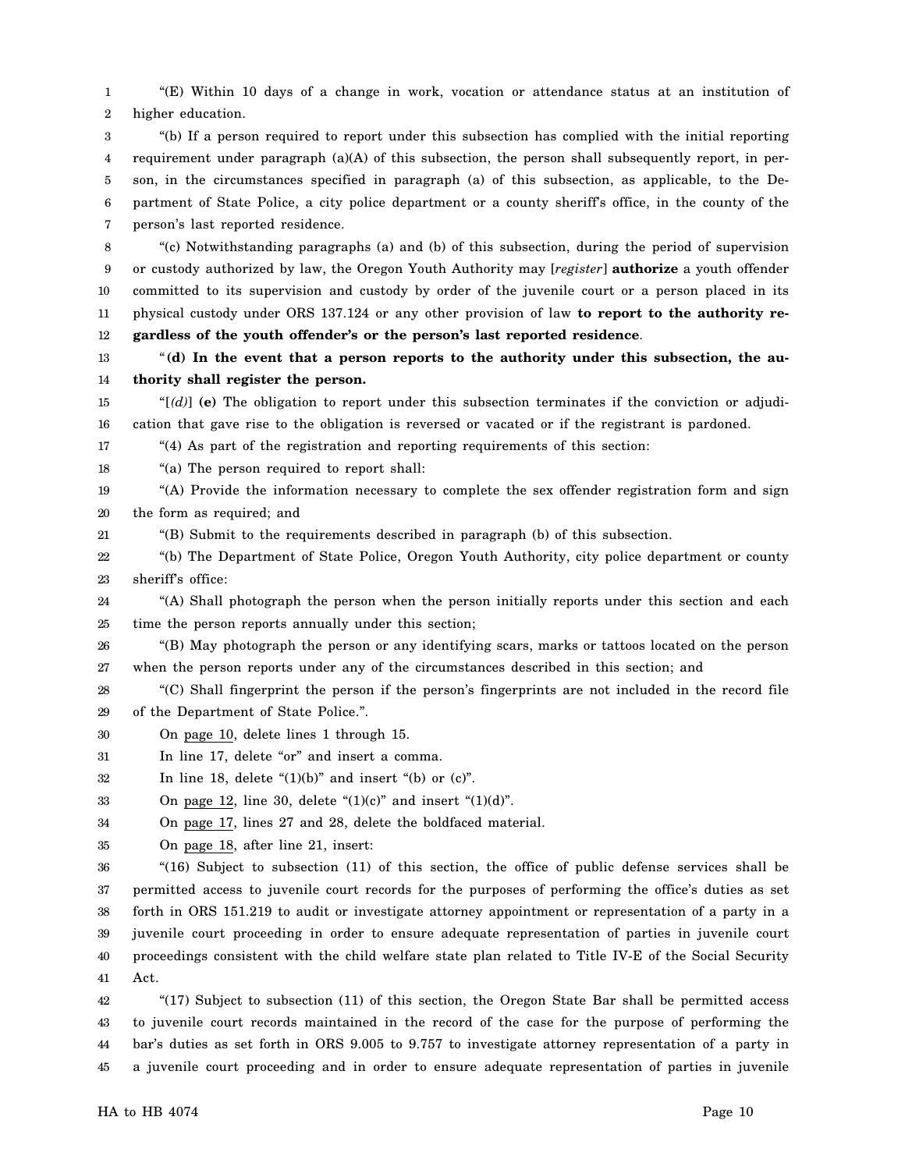1 2 "(E) Within 10 days of a change in work, vocation or attendance status at an institution of higher education.

3 4 5 6 7 "(b) If a person required to report under this subsection has complied with the initial reporting requirement under paragraph  $(a)(A)$  of this subsection, the person shall subsequently report, in person, in the circumstances specified in paragraph (a) of this subsection, as applicable, to the Department of State Police, a city police department or a county sheriff's office, in the county of the person's last reported residence.

8 9 10 11 12 "(c) Notwithstanding paragraphs (a) and (b) of this subsection, during the period of supervision or custody authorized by law, the Oregon Youth Authority may [*register*] **authorize** a youth offender committed to its supervision and custody by order of the juvenile court or a person placed in its physical custody under ORS 137.124 or any other provision of law **to report to the authority regardless of the youth offender's or the person's last reported residence**.

13 14 "**(d) In the event that a person reports to the authority under this subsection, the authority shall register the person.**

15 16 " $[(d)]$  (e) The obligation to report under this subsection terminates if the conviction or adjudication that gave rise to the obligation is reversed or vacated or if the registrant is pardoned.

17 "(4) As part of the registration and reporting requirements of this section:

18 "(a) The person required to report shall:

19 20 "(A) Provide the information necessary to complete the sex offender registration form and sign the form as required; and

21 "(B) Submit to the requirements described in paragraph (b) of this subsection.

22 23 "(b) The Department of State Police, Oregon Youth Authority, city police department or county sheriff's office:

24 25 "(A) Shall photograph the person when the person initially reports under this section and each time the person reports annually under this section;

26 27 "(B) May photograph the person or any identifying scars, marks or tattoos located on the person when the person reports under any of the circumstances described in this section; and

28 29 "(C) Shall fingerprint the person if the person's fingerprints are not included in the record file of the Department of State Police.".

- 30 On page 10, delete lines 1 through 15.
- 31 In line 17, delete "or" and insert a comma.
- 32 In line 18, delete " $(1)(b)$ " and insert " $(b)$  or  $(c)$ ".

33 On page 12, line 30, delete " $(1)(c)$ " and insert " $(1)(d)$ ".

34 On page 17, lines 27 and 28, delete the boldfaced material.

35 On page 18, after line 21, insert:

36 37 38 39 40 41 "(16) Subject to subsection (11) of this section, the office of public defense services shall be permitted access to juvenile court records for the purposes of performing the office's duties as set forth in ORS 151.219 to audit or investigate attorney appointment or representation of a party in a juvenile court proceeding in order to ensure adequate representation of parties in juvenile court proceedings consistent with the child welfare state plan related to Title IV-E of the Social Security Act.

42 43 44 45 "(17) Subject to subsection (11) of this section, the Oregon State Bar shall be permitted access to juvenile court records maintained in the record of the case for the purpose of performing the bar's duties as set forth in ORS 9.005 to 9.757 to investigate attorney representation of a party in a juvenile court proceeding and in order to ensure adequate representation of parties in juvenile